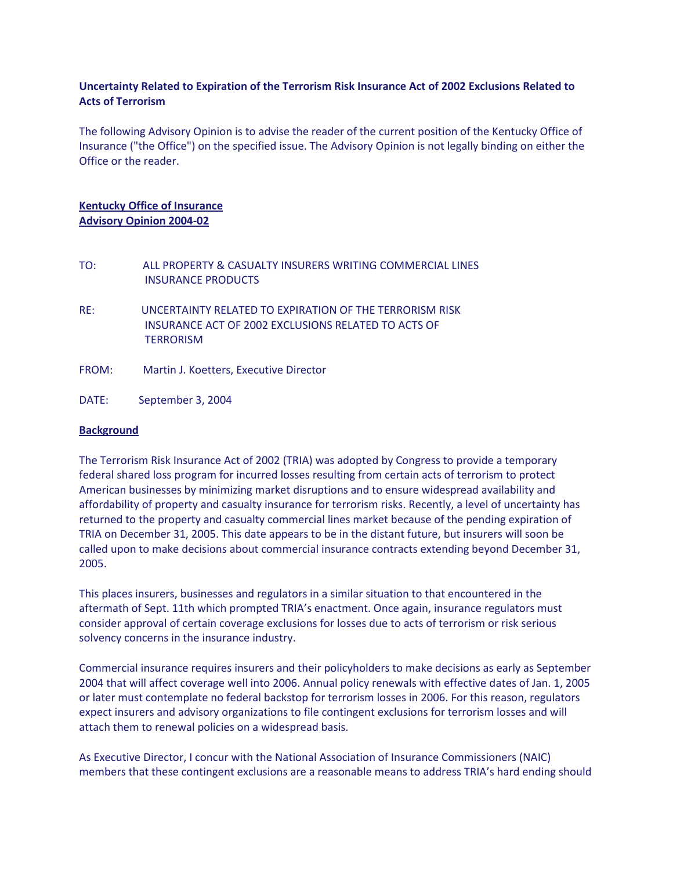# **Uncertainty Related to Expiration of the Terrorism Risk Insurance Act of 2002 Exclusions Related to Acts of Terrorism**

The following Advisory Opinion is to advise the reader of the current position of the Kentucky Office of Insurance ("the Office") on the specified issue. The Advisory Opinion is not legally binding on either the Office or the reader.

# **Kentucky Office of Insurance Advisory Opinion 2004-02**

- TO: ALL PROPERTY & CASUALTY INSURERS WRITING COMMERCIAL LINES INSURANCE PRODUCTS
- RE: UNCERTAINTY RELATED TO EXPIRATION OF THE TERRORISM RISK INSURANCE ACT OF 2002 EXCLUSIONS RELATED TO ACTS OF **TERRORISM**
- FROM: Martin J. Koetters, Executive Director
- DATE: September 3, 2004

#### **Background**

The Terrorism Risk Insurance Act of 2002 (TRIA) was adopted by Congress to provide a temporary federal shared loss program for incurred losses resulting from certain acts of terrorism to protect American businesses by minimizing market disruptions and to ensure widespread availability and affordability of property and casualty insurance for terrorism risks. Recently, a level of uncertainty has returned to the property and casualty commercial lines market because of the pending expiration of TRIA on December 31, 2005. This date appears to be in the distant future, but insurers will soon be called upon to make decisions about commercial insurance contracts extending beyond December 31, 2005.

This places insurers, businesses and regulators in a similar situation to that encountered in the aftermath of Sept. 11th which prompted TRIA's enactment. Once again, insurance regulators must consider approval of certain coverage exclusions for losses due to acts of terrorism or risk serious solvency concerns in the insurance industry.

Commercial insurance requires insurers and their policyholders to make decisions as early as September 2004 that will affect coverage well into 2006. Annual policy renewals with effective dates of Jan. 1, 2005 or later must contemplate no federal backstop for terrorism losses in 2006. For this reason, regulators expect insurers and advisory organizations to file contingent exclusions for terrorism losses and will attach them to renewal policies on a widespread basis.

As Executive Director, I concur with the National Association of Insurance Commissioners (NAIC) members that these contingent exclusions are a reasonable means to address TRIA's hard ending should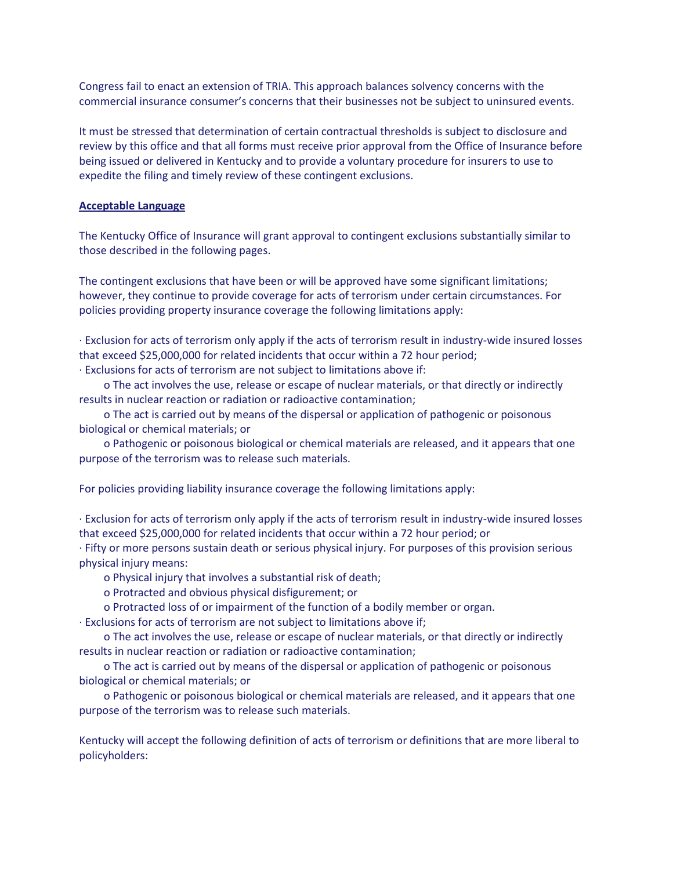Congress fail to enact an extension of TRIA. This approach balances solvency concerns with the commercial insurance consumer's concerns that their businesses not be subject to uninsured events.

It must be stressed that determination of certain contractual thresholds is subject to disclosure and review by this office and that all forms must receive prior approval from the Office of Insurance before being issued or delivered in Kentucky and to provide a voluntary procedure for insurers to use to expedite the filing and timely review of these contingent exclusions.

#### **Acceptable Language**

The Kentucky Office of Insurance will grant approval to contingent exclusions substantially similar to those described in the following pages.

The contingent exclusions that have been or will be approved have some significant limitations; however, they continue to provide coverage for acts of terrorism under certain circumstances. For policies providing property insurance coverage the following limitations apply:

· Exclusion for acts of terrorism only apply if the acts of terrorism result in industry-wide insured losses that exceed \$25,000,000 for related incidents that occur within a 72 hour period;

· Exclusions for acts of terrorism are not subject to limitations above if:

 o The act involves the use, release or escape of nuclear materials, or that directly or indirectly results in nuclear reaction or radiation or radioactive contamination;

 o The act is carried out by means of the dispersal or application of pathogenic or poisonous biological or chemical materials; or

 o Pathogenic or poisonous biological or chemical materials are released, and it appears that one purpose of the terrorism was to release such materials.

For policies providing liability insurance coverage the following limitations apply:

· Exclusion for acts of terrorism only apply if the acts of terrorism result in industry-wide insured losses that exceed \$25,000,000 for related incidents that occur within a 72 hour period; or

· Fifty or more persons sustain death or serious physical injury. For purposes of this provision serious physical injury means:

o Physical injury that involves a substantial risk of death;

o Protracted and obvious physical disfigurement; or

o Protracted loss of or impairment of the function of a bodily member or organ.

· Exclusions for acts of terrorism are not subject to limitations above if;

 o The act involves the use, release or escape of nuclear materials, or that directly or indirectly results in nuclear reaction or radiation or radioactive contamination;

 o The act is carried out by means of the dispersal or application of pathogenic or poisonous biological or chemical materials; or

 o Pathogenic or poisonous biological or chemical materials are released, and it appears that one purpose of the terrorism was to release such materials.

Kentucky will accept the following definition of acts of terrorism or definitions that are more liberal to policyholders: